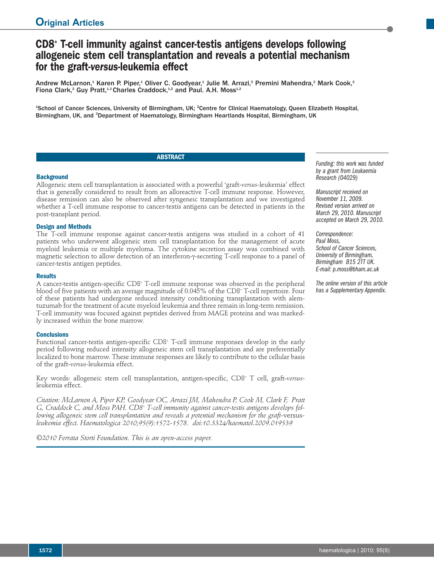# **CD8+ T-cell immunity against cancer-testis antigens develops following allogeneic stem cell transplantation and reveals a potential mechanism for the graft-***versus***-leukemia effect**

Andrew McLarnon,<sup>1</sup> Karen P. Piper,<sup>1</sup> Oliver C. Goodyear,<sup>1</sup> Julie M. Arrazi,<sup>2</sup> Premini Mahendra,<sup>2</sup> Mark Cook,<sup>2</sup> Fiona Clark,<sup>2</sup> Guy Pratt,<sup>1,3</sup> Charles Craddock,<sup>1,2</sup> and Paul. A.H. Moss<sup>1,2</sup>

<sup>1</sup>School of Cancer Sciences, University of Birmingham, UK; <sup>2</sup>Centre for Clinical Haematology, Queen Elizabeth Hospital, Birmingham, UK, and <sup>3</sup>Department of Haematology, Birmingham Heartlands Hospital, Birmingham, UK

# **ABSTRACT**

#### **Background**

Allogeneic stem cell transplantation is associated with a powerful 'graft-*versus*-leukemia' effect that is generally considered to result from an alloreactive T-cell immune response. However, disease remission can also be observed after syngeneic transplantation and we investigated whether a T-cell immune response to cancer-testis antigens can be detected in patients in the post-transplant period.

# **Design and Methods**

The T-cell immune response against cancer-testis antigens was studied in a cohort of 41 patients who underwent allogeneic stem cell transplantation for the management of acute myeloid leukemia or multiple myeloma. The cytokine secretion assay was combined with magnetic selection to allow detection of an interferon-γ-secreting T-cell response to a panel of cancer-testis antigen peptides.

#### **Results**

A cancer-testis antigen-specific CD8+ T-cell immune response was observed in the peripheral blood of five patients with an average magnitude of 0.045% of the CD8+ T-cell repertoire. Four of these patients had undergone reduced intensity conditioning transplantation with alemtuzumab for the treatment of acute myeloid leukemia and three remain in long-term remission. T-cell immunity was focused against peptides derived from MAGE proteins and was markedly increased within the bone marrow.

#### **Conclusions**

Functional cancer-testis antigen-specific CD8<sup>+</sup> T-cell immune responses develop in the early period following reduced intensity allogeneic stem cell transplantation and are preferentially localized to bone marrow. These immune responses are likely to contribute to the cellular basis of the graft-*versus*-leukemia effect.

Key words: allogeneic stem cell transplantation, antigen-specific, CD8+ T cell, graft-*versus*leukemia effect.

*Citation: McLarnon A, Piper KP, Goodyear OC, Arrazi JM, Mahendra P, Cook M, Clark F, Pratt G, Craddock C, and Moss PAH. CD8+ T-cell immunity against cancer-testis antigens develops following allogeneic stem cell transplantation and reveals a potential mechanism for the graft-*versus*leukemia effect. Haematologica 2010;95(9):1572-1578. doi:10.3324/haematol.2009.019539*

*©2010 Ferrata Storti Foundation. This is an open-access paper.*

*Funding: this work was funded by a grant from Leukaemia Research (04029)*

*Manuscript received on November 11, 2009. Revised version arrived on March 29, 2010. Manuscript accepted on March 29, 2010.*

*Correspondence: Paul Moss, School of Cancer Sciences, University of Birmingham, Birmingham B15 2TT UK. E-mail: p.moss@bham.ac.uk*

*The online version of this article has a Supplementary Appendix.*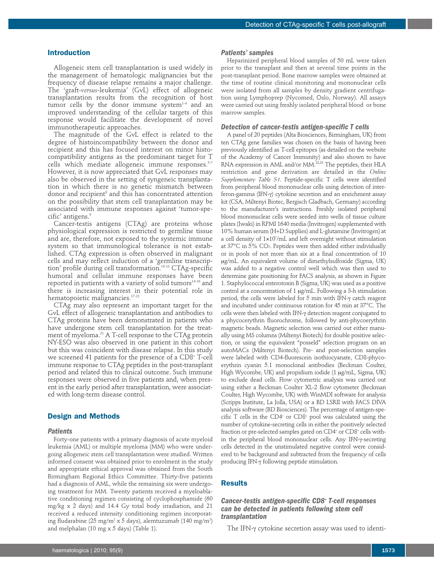#### **Introduction**

Allogeneic stem cell transplantation is used widely in the management of hematologic malignancies but the frequency of disease relapse remains a major challenge. The 'graft-*versus*-leukemia' (GvL) effect of allogeneic transplantation results from the recognition of host tumor cells by the donor immune system<sup>14</sup> and an improved understanding of the cellular targets of this response would facilitate the development of novel immunotherapeutic approaches.

The magnitude of the GvL effect is related to the degree of histoincompatibility between the donor and recipient and this has focused interest on minor histocompatibility antigens as the predominant target for T cells which mediate allogeneic immune responses. 5-7 However, it is now appreciated that GvL responses may also be observed in the setting of syngeneic transplantation in which there is no genetic mismatch between donor and recipient $^{\text{\tiny{\textregistered}}}$  and this has concentrated attention on the possibility that stem cell transplantation may be associated with immune responses against 'tumor-specific' antigens. 9

Cancer-testis antigens (CTAg) are proteins whose physiological expression is restricted to germline tissue and are, therefore, not exposed to the systemic immune system so that immunological tolerance is not established. CTAg expression is often observed in malignant cells and may reflect induction of a 'germline transcription' profile during cell transformation. 10-13 CTAg-specific humoral and cellular immune responses have been reported in patients with a variety of solid tumors<sup>14-16</sup> and there is increasing interest in their potential role in hematopoietic malignancies. 17-21

CTAg may also represent an important target for the GvL effect of allogeneic transplantation and antibodies to CTAg proteins have been demonstrated in patients who have undergone stem cell transplantation for the treatment of myeloma. <sup>21</sup> A T-cell response to the CTAg protein NY-ESO was also observed in one patient in this cohort but this was coincident with disease relapse. In this study we screened 41 patients for the presence of a CD8+ T-cell immune response to CTAg peptides in the post-transplant period and related this to clinical outcome. Such immune responses were observed in five patients and, when present in the early period after transplantation, were associated with long-term disease control.

# **Design and Methods**

#### *Patients*

Forty-one patients with a primary diagnosis of acute myeloid leukemia (AML) or multiple myeloma (MM) who were undergoing allogeneic stem cell transplantation were studied. Written informed consent was obtained prior to enrolment in the study and appropriate ethical approval was obtained from the South Birmingham Regional Ethics Committee. Thirty-five patients had a diagnosis of AML, while the remaining six were undergoing treatment for MM. Twenty patients received a myeloablative conditioning regimen consisting of cyclophosphamide (60 mg/kg x 2 days) and 14.4 Gy total body irradiation, and 21 received a reduced intensity conditioning regimen incorporating fludarabine (25 mg/m² x 5 days), alemtuzumab (140 mg/m²) and melphalan (10 mg x 5 days) (Table 1).

#### *Patients' samples*

Heparinized peripheral blood samples of 50 mL were taken prior to the transplant and then at several time points in the post-transplant period. Bone marrow samples were obtained at the time of routine clinical monitoring and mononuclear cells were isolated from all samples by density gradient centrifugation using Lymphoprep (Nycomed, Oslo, Norway). All assays were carried out using freshly isolated peripheral blood or bone marrow samples.

# *Detection of cancer-testis antigen-specific T cells*

A panel of 20 peptides (Alta Biosciences, Birmingham, UK) from ten CTAg gene families was chosen on the basis of having been previously identified as T-cell epitopes (as detailed on the website of the Academy of Cancer Immunity) and also shown to have RNA expression in AML and/or MM.<sup>22,23</sup> The peptides, their HLA restriction and gene derivation are detailed in the *Online Supplementary Table S1*. Peptide-specific T cells were identified from peripheral blood mononuclear cells using detection of interferon-gamma (IFN-γ) cytokine secretion and an enrichment assay kit (CSA, Miltenyi Biotec, Bergisch Gladbach, Germany) according to the manufacturer's instructions. Freshly isolated peripheral blood mononuclear cells were seeded into wells of tissue culture plates (Iwaki) in RPMI 1640 media (Invitrogen) supplemented with 10% human serum (H+D Supplies) and L-glutamine (Invitrogen) at a cell density of 1¥107 /mL and left overnight without stimulation at 37°C in 5% CO2. Peptides were then added either individually or in pools of not more than six at a final concentration of 10 mg/mL. An equivalent volume of dimethylsulfoxide (Sigma, UK) was added to a negative control well which was then used to determine gate positioning for FACS analysis, as shown in Figure 1. Staphylococcal enterotoxin B (Sigma, UK) was used as a positive control at a concentration of 1 µg/mL. Following a 3-h stimulation period, the cells were labeled for 5 min with IFN-γ catch reagent and incubated under continuous rotation for 45 min at 37°C. The cells were then labeled with IFN-γ detection reagent conjugated to a phycocerythrin fluorochrome, followed by anti-phycoerythrin magnetic beads. Magnetic selection was carried out either manually using MS columns (Miltenyi Biotech) for double positive selection, or using the equivalent "posseld" selection program on an autoMACs (Miltenyi Biotech). Pre- and post-selection samples were labeled with CD4-fluorescein isothiocyanate, CD8-phycoerythrin cyanin 5.1 monoclonal antibodies (Beckman Coulter, High Wycombe, UK) and propidium iodide (1 µg/mL, Sigma, UK) to exclude dead cells. Flow cytometric analysis was carried out using either a Beckman Coulter XL-2 flow cytometer (Beckman Coulter, High Wycombe, UK) with WinMDI software for analysis (Scripps Institute, La Jolla, USA) or a BD LSRII with FACS DIVA analysis software (BD Biosciences). The percentage of antigen-specific T cells in the CD4<sup>+</sup> or CD8<sup>+</sup> pool was calculated using the number of cytokine-secreting cells in either the positively selected fraction or pre-selected samples gated on CD4<sup>+</sup> or CD8<sup>+</sup> cells within the peripheral blood mononuclear cells. Any IFN-γ-secreting cells detected in the unstimulated negative control were considered to be background and subtracted from the frequency of cells producing IFN-γ following peptide stimulation.

## **Results**

# *Cancer-testis antigen-specific CD8+ T-cell responses can be detected in patients following stem cell transplantation*

The IFN-γ cytokine secretion assay was used to identi-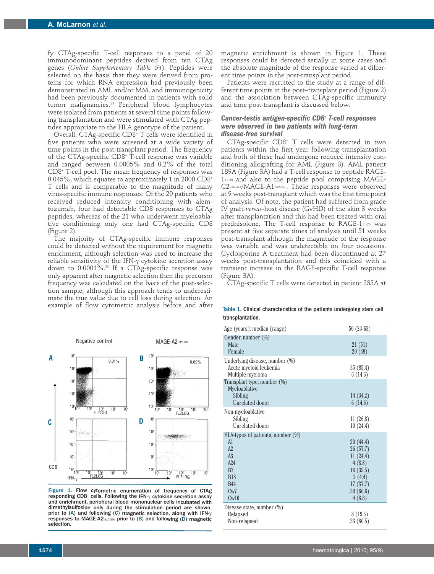fy CTAg-specific T-cell responses to a panel of 20 immunodominant peptides derived from ten CTAg genes (*Online Supplementary Table S1*). Peptides were selected on the basis that they were derived from proteins for which RNA expression had previously been demonstrated in AML and/or MM, and immunogenicity had been previously documented in patients with solid tumor malignancies. <sup>24</sup> Peripheral blood lymphocytes were isolated from patients at several time points following transplantation and were stimulated with CTAg peptides appropriate to the HLA genotype of the patient.

Overall, CTAg-specific CD8+ T cells were identified in five patients who were screened at a wide variety of time points in the post-transplant period. The frequency of the CTAg-specific CD8+ T-cell response was variable and ranged between 0.0005% and 0.2% of the total CD8+ T-cell pool. The mean frequency of responses was 0.045%, which equates to approximately 1 in 2000 CD8+ T cells and is comparable to the magnitude of many virus-specific immune responses. Of the 20 patients who received reduced intensity conditioning with alemtuzumab, four had detectable CD8 responses to CTAg peptides, whereas of the 21 who underwent myeloablative conditioning only one had CTAg-specific CD8 (Figure 2).

The majority of CTAg-specific immune responses could be detected without the requirement for magnetic enrichment, although selection was used to increase the reliable sensitivity of the IFN-γ cytokine secretion assay down to 0.0001%. <sup>25</sup> If a CTAg-specific response was only apparent after magnetic selection then the precursor frequency was calculated on the basis of the post-selection sample, although this approach tends to underestimate the true value due to cell loss during selection. An example of flow cytometric analysis before and after



Figure 1. Flow cytometric enumeration of frequency of CTAg responding CD8+ cells. Following the IFN- $\gamma$  cytokine secretion assay and enrichment, perioheral blood mononuclear cells incubated with dimethylsulfoxide only during the stimulation period are shown, prior to (A) and following (C) magnetic selection, along with IFNresponses to MAGE-A2 $_{212220}$  prior to (B) and following (D) magnetic selection.

magnetic enrichment is shown in Figure 1. These responses could be detected serially in some cases and the absolute magnitude of the response varied at different time points in the post-transplant period.

Patients were recruited to the study at a range of different time points in the post–transplant period (Figure 2) and the association between CTAg-specific immunity and time post-transplant is discussed below.

# *Cancer-testis antigen-specific CD8+ T-cell responses were observed in two patients with long-term disease-free survival*

CTAg-specific CD8+ T cells were detected in two patients within the first year following transplantation and both of these had undergone reduced intensity conditioning allografting for AML (Figure 3). AML patient 189A (Figure 3A) had a T-cell response to peptide RAGE-111-20 and also to the peptide pool comprising MAGE-C2336-344/MAGE-A1289-298. These responses were observed at 9 weeks post-transplant which was the first time point of analysis. Of note, the patient had suffered from grade IV graft-*versus*-host disease (GvHD) of the skin 3 weeks after transplantation and this had been treated with oral prednisolone. The T-cell response to RAGE-111-20 was present at five separate times of analysis until 51 weeks post-transplant although the magnitude of the response was variable and was undetectable on four occasions. Cyclosporine A treatment had been discontinued at 27 weeks post-transplantation and this coincided with a transient increase in the RAGE-specific T-cell response (Figure 3A).

CTAg-specific T cells were detected in patient 235A at

Table 1. Clinical characteristics of the patients undergoing stem cell transplantation.

| Age (years): median (range)          | $50(23-63)$ |
|--------------------------------------|-------------|
| Gender, number (%)                   |             |
| Male                                 | 21(51)      |
| Female                               | 20 (49)     |
| Underlying disease, number (%)       |             |
| Acute myeloid leukemia               | 35(85.4)    |
| Multiple myeloma                     | 6(14.6)     |
| Transplant type, number (%)          |             |
| Myeloablative                        |             |
| Sibling                              | 14(34.2)    |
| <b>Unrelated donor</b>               | 6(14.6)     |
| Non-myeloablative                    |             |
| Sibling                              | 11(26.8)    |
| Unrelated donor                      | 10(24.4)    |
| HLA-types of patients, number $(\%)$ |             |
| A1                                   | 20(44.4)    |
| A2                                   | 26(57.7)    |
| A <sub>3</sub>                       | 11(24.4)    |
| A24                                  | 4(8.8)      |
| B <sub>7</sub>                       | 16(35.5)    |
| <b>B18</b>                           | 2(4.4)      |
| <b>B44</b>                           | 17(37.7)    |
| Cw7                                  | 30(66.6)    |
| Cw16                                 | 4(8.8)      |
| Disease state, number (%)            |             |
| Relapsed                             | 8(19.5)     |
| Non-relapsed                         | 33(80.5)    |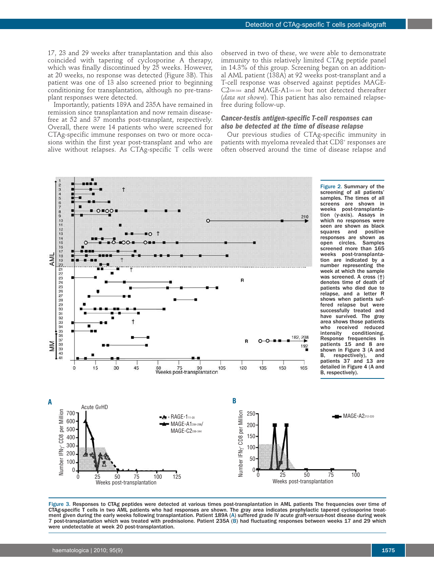17, 23 and 29 weeks after transplantation and this also coincided with tapering of cyclosporine A therapy, which was finally discontinued by 25 weeks. However, at 20 weeks, no response was detected (Figure 3B). This patient was one of 13 also screened prior to beginning conditioning for transplantation, although no pre-transplant responses were detected.

Importantly, patients 189A and 235A have remained in remission since transplantation and now remain diseasefree at 52 and 37 months post-transplant, respectively. Overall, there were 14 patients who were screened for CTAg-specific immune responses on two or more occasions within the first year post-transplant and who are alive without relapses. As CTAg-specific T cells were

observed in two of these, we were able to demonstrate immunity to this relatively limited CTAg peptide panel in 14.3% of this group. Screening began on an additional AML patient (138A) at 92 weeks post-transplant and a T-cell response was observed against peptides MAGE-C2336-344 and MAGE-A1161-169 but not detected thereafter (*data not shown*). This patient has also remained relapsefree during follow-up.

# *Cancer-testis antigen-specific T-cell responses can also be detected at the time of disease relapse*

Our previous studies of CTAg-specific immunity in patients with myeloma revealed that CD8<sup>+</sup> responses are often observed around the time of disease relapse and



Figure 3. Responses to CTAg peptides were detected at various times post-transplantation in AML patients The frequencies over time of CTAg-specific T cells in two AML patients who had responses are shown. The gray area indicates prophylactic tapered cyclosporine treatment given during the early weeks following transplantation. Patient 189A (A) suffered grade IV acute graft-*versus*-host disease during week 7 post-transplantation which was treated with prednisolone. Patient 235A (B) had fluctuating responses between weeks 17 and 29 which were undetectable at week 20 post-transplantation.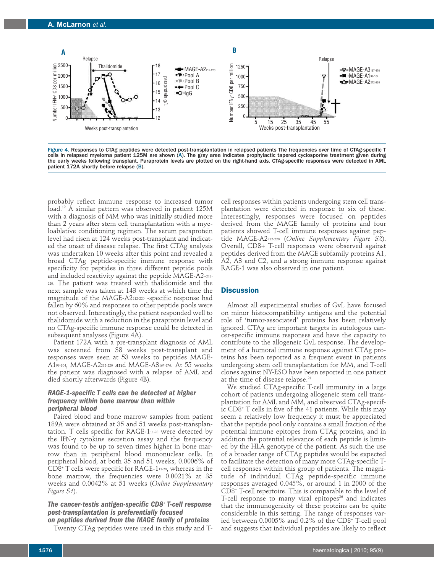

Figure 4. Responses to CTAg peptides were detected post-transplantation in relapsed patients The frequencies over time of CTAg-specific T cells in relapsed myeloma patient 125M are shown (A). The gray area indicates prophylactic tapered cyclosporine treatment given during the early weeks following transplant. Paraprotein levels are plotted on the right-hand axis. CTAg-specific responses were detected in AML patient 172A shortly before relapse (B).

probably reflect immune response to increased tumor load. <sup>19</sup> A similar pattern was observed in patient 125M with a diagnosis of MM who was initially studied more than 2 years after stem cell transplantation with a myeloablative conditioning regimen. The serum paraprotein level had risen at 124 weeks post-transplant and indicated the onset of disease relapse. The first CTAg analysis was undertaken 10 weeks after this point and revealed a broad CTAg peptide-specific immune response with specificity for peptides in three different peptide pools and included reactivity against the peptide MAGE-A2-212- 220. The patient was treated with thalidomide and the next sample was taken at 143 weeks at which time the magnitude of the MAGE-A2212-220 -specific response had fallen by 60% and responses to other peptide pools were not observed. Interestingly, the patient responded well to thalidomide with a reduction in the paraprotein level and no CTAg-specific immune response could be detected in subsequent analyses (Figure 4A).

Patient 172A with a pre-transplant diagnosis of AML was screened from 38 weeks post-transplant and responses were seen at 53 weeks to peptides MAGE-A196-104, MAGE-A2212-220 and MAGE-A3167-176. At 55 weeks the patient was diagnosed with a relapse of AML and died shortly afterwards (Figure 4B).

## *RAGE-1-specific T cells can be detected at higher frequency within bone marrow than within peripheral blood*

Paired blood and bone marrow samples from patient 189A were obtained at 35 and 51 weeks post-transplantation. T cells specific for RAGE-111-20 were detected by the IFN-γ cytokine secretion assay and the frequency was found to be up to seven times higher in bone marrow than in peripheral blood mononuclear cells. In peripheral blood, at both 35 and 51 weeks, 0.0006% of CD8+ T cells were specific for RAGE-111-20, whereas in the bone marrow, the frequencies were 0.0021% at 35 weeks and 0.0042% at 51 weeks (*Online Supplementary Figure S1*).

*The cancer-testis antigen-specific CD8+ T-cell response post-transplantation is preferentially focused*

*on peptides derived from the MAGE family of proteins* Twenty CTAg peptides were used in this study and T- cell responses within patients undergoing stem cell transplantation were detected in response to six of these. Interestingly, responses were focused on peptides derived from the MAGE family of proteins and four patients showed T-cell immune responses against peptide MAGE-A2212-220 (*Online Supplementary Figure S2*). Overall, CD8+ T-cell responses were observed against peptides derived from the MAGE subfamily proteins A1, A2, A3 and C2, and a strong immune response against RAGE-1 was also observed in one patient.

# **Discussion**

Almost all experimental studies of GvL have focused on minor histocompatibility antigens and the potential role of 'tumor-associated' proteins has been relatively ignored. CTAg are important targets in autologous cancer-specific immune responses and have the capacity to contribute to the allogeneic GvL response. The development of a humoral immune response against CTAg proteins has been reported as a frequent event in patients undergoing stem cell transplantation for MM, and T-cell clones against NY-ESO have been reported in one patient at the time of disease relapse. 21

We studied CTAg-specific T-cell immunity in a large cohort of patients undergoing allogeneic stem cell transplantation for AML and MM, and observed CTAg-specific CD8+ T cells in five of the 41 patients. While this may seem a relatively low frequency it must be appreciated that the peptide pool only contains a small fraction of the potential immune epitopes from CTAg proteins, and in addition the potential relevance of each peptide is limited by the HLA genotype of the patient. As such the use of a broader range of CTAg peptides would be expected to facilitate the detection of many more CTAg-specific Tcell responses within this group of patients. The magnitude of individual CTAg peptide-specific immune responses averaged 0.045%, or around 1 in 2000 of the CD8+ T-cell repertoire. This is comparable to the level of T-cell response to many viral epitopes<sup>26</sup> and indicates that the immunogenicity of these proteins can be quite considerable in this setting. The range of responses varied between 0.0005% and 0.2% of the CD8+ T-cell pool and suggests that individual peptides are likely to reflect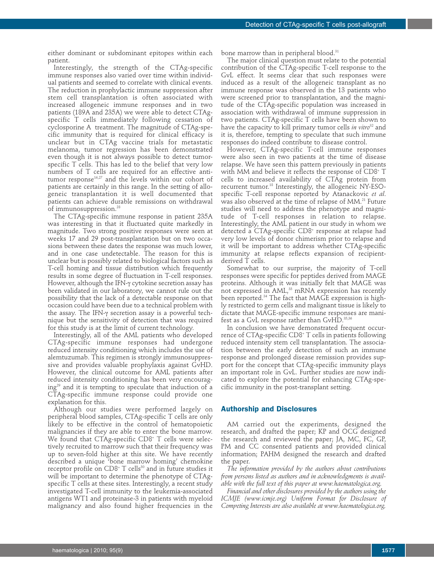either dominant or subdominant epitopes within each patient.

Interestingly, the strength of the CTAg-specific immune responses also varied over time within individual patients and seemed to correlate with clinical events. The reduction in prophylactic immune suppression after stem cell transplantation is often associated with increased allogeneic immune responses and in two patients (189A and 235A) we were able to detect CTAgspecific T cells immediately following cessation of cyclosporine A treatment. The magnitude of CTAg-specific immunity that is required for clinical efficacy is unclear but in CTAg vaccine trials for metastatic melanoma, tumor regression has been demonstrated even though it is not always possible to detect tumorspecific T cells. This has led to the belief that very low numbers of T cells are required for an effective antitumor response<sup>16,27</sup> and the levels within our cohort of patients are certainly in this range. In the setting of allogeneic transplantation it is well documented that patients can achieve durable remissions on withdrawal of immunosuppression. 28

The CTAg-specific immune response in patient 235A was interesting in that it fluctuated quite markedly in magnitude. Two strong positive responses were seen at weeks 17 and 29 post-transplantation but on two occasions between these dates the response was much lower, and in one case undetectable. The reason for this is unclear but is possibly related to biological factors such as T-cell homing and tissue distribution which frequently results in some degree of fluctuation in T-cell responses. However, although the IFN-γ cytokine secretion assay has been validated in our laboratory, we cannot rule out the possibility that the lack of a detectable response on that occasion could have been due to a technical problem with the assay. The IFN-γ secretion assay is a powerful technique but the sensitivity of detection that was required for this study is at the limit of current technology.

Interestingly, all of the AML patients who developed CTAg-specific immune responses had undergone reduced intensity conditioning which includes the use of alemtuzumab. This regimen is strongly immunosuppressive and provides valuable prophylaxis against GvHD. However, the clinical outcome for AML patients after reduced intensity conditioning has been very encourag $ing<sup>29</sup>$  and it is tempting to speculate that induction of a CTAg-specific immune response could provide one explanation for this.

Although our studies were performed largely on peripheral blood samples, CTAg-specific T cells are only likely to be effective in the control of hematopoietic malignancies if they are able to enter the bone marrow. We found that CTAg-specific CD8<sup>+</sup> T cells were selectively recruited to marrow such that their frequency was up to seven-fold higher at this site. We have recently described a unique 'bone marrow homing' chemokine receptor profile on  $CD8^+$  T cells<sup>30</sup> and in future studies it will be important to determine the phenotype of CTAgspecific T cells at these sites. Interestingly, a recent study investigated T-cell immunity to the leukemia-associated antigens WT1 and proteinase-3 in patients with myeloid malignancy and also found higher frequencies in the

bone marrow than in peripheral blood. 31

The major clinical question must relate to the potential contribution of the CTAg-specific T-cell response to the GvL effect. It seems clear that such responses were induced as a result of the allogeneic transplant as no immune response was observed in the 13 patients who were screened prior to transplantation, and the magnitude of the CTAg-specific population was increased in association with withdrawal of immune suppression in two patients. CTAg-specific T cells have been shown to have the capacity to kill primary tumor cells *in vitro*<sup>32</sup> and it is, therefore, tempting to speculate that such immune responses do indeed contribute to disease control.

However, CTAg-specific T-cell immune responses were also seen in two patients at the time of disease relapse. We have seen this pattern previously in patients with MM and believe it reflects the response of CD8+ T cells to increased availability of CTAg protein from recurrent tumor. <sup>18</sup> Interestingly, the allogeneic NY-ESOspecific T-cell response reported by Atanackovic *et al*. was also observed at the time of relapse of MM. $^{\scriptscriptstyle 21}$  Future studies will need to address the phenotype and magnitude of T-cell responses in relation to relapse. Interestingly, the AML patient in our study in whom we detected a CTAg-specific CD8+ response at relapse had very low levels of donor chimerism prior to relapse and it will be important to address whether CTAg-specific immunity at relapse reflects expansion of recipientderived T cells.

Somewhat to our surprise, the majority of T-cell responses were specific for peptides derived from MAGE proteins. Although it was initially felt that MAGE was not expressed in AML, <sup>33</sup> mRNA expression has recently been reported. <sup>34</sup> The fact that MAGE expression is highly restricted to germ cells and malignant tissue is likely to dictate that MAGE-specific immune responses are manifest as a GvL response rather than GvHD. 35,36

In conclusion we have demonstrated frequent occurrence of CTAg-specific CD8+ T cells in patients following reduced intensity stem cell transplantation. The association between the early detection of such an immune response and prolonged disease remission provides support for the concept that CTAg-specific immunity plays an important role in GvL. Further studies are now indicated to explore the potential for enhancing CTAg-specific immunity in the post-transplant setting.

#### **Authorship and Disclosures**

AM carried out the experiments, designed the research, and drafted the paper; KP and OCG designed the research and reviewed the paper; JA, MC, FC, GP, PM and CC consented patients and provided clinical information; PAHM designed the research and drafted the paper.

*The information provided by the authors about contributions from persons listed as authors and in acknowledgments is available with the full text of this paper at www.haematologica.org.*

*Financial and other disclosures provided by the authors using the ICMJE (www.icmje.org) Uniform Format for Disclosure of Competing Interests are also available at www.haematologica.org.*